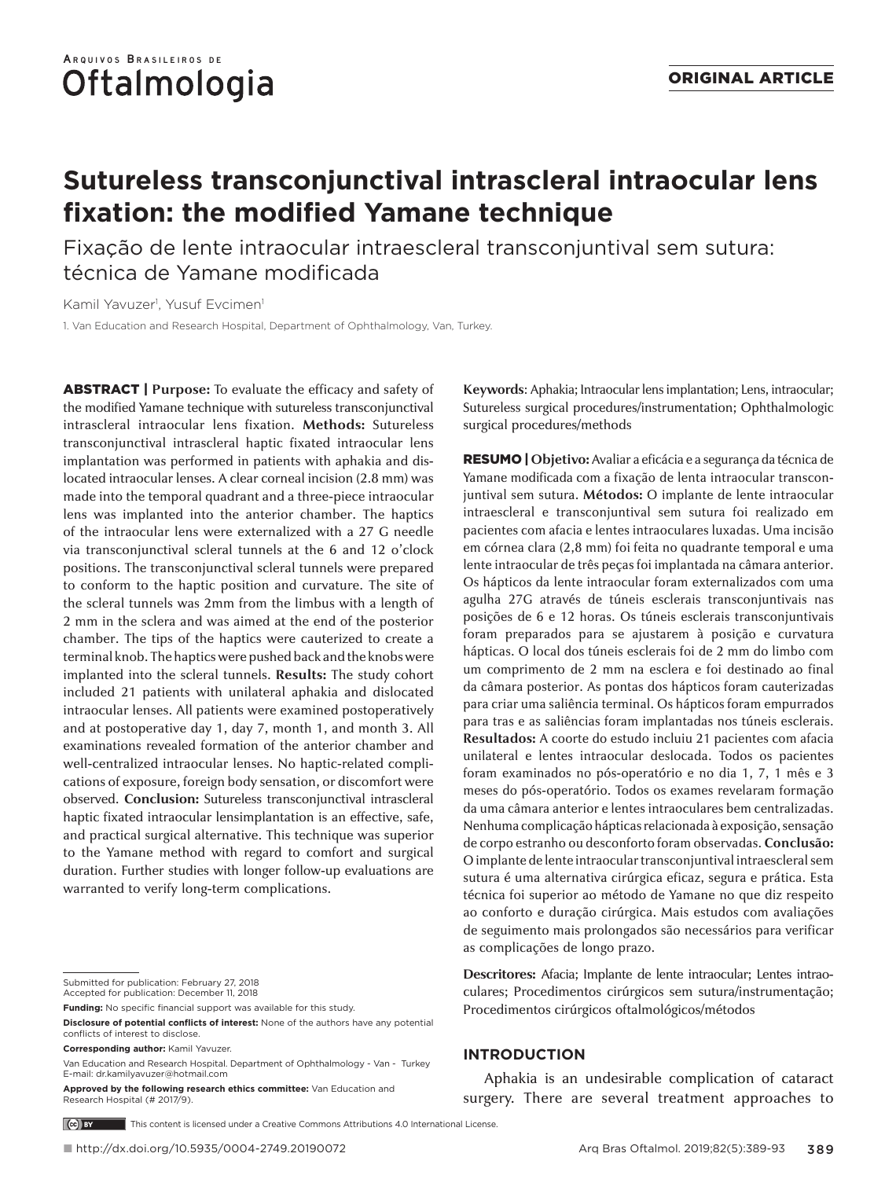# **Sutureless transconjunctival intrascleral intraocular lens fixation: the modified Yamane technique**

Fixação de lente intraocular intraescleral transconjuntival sem sutura: técnica de Yamane modificada

Kamil Yavuzer<sup>ı</sup>, Yusuf Evcimen<sup>ı</sup>

1. Van Education and Research Hospital, Department of Ophthalmology, Van, Turkey.

ABSTRACT | **Purpose:** To evaluate the efficacy and safety of the modified Yamane technique with sutureless transconjunctival intrascleral intraocular lens fixation. **Methods:** Sutureless transconjunctival intrascleral haptic fixated intraocular lens implantation was performed in patients with aphakia and dislocated intraocular lenses. A clear corneal incision (2.8 mm) was made into the temporal quadrant and a three-piece intraocular lens was implanted into the anterior chamber. The haptics of the intraocular lens were externalized with a 27 G needle via transconjunctival scleral tunnels at the 6 and 12 o'clock positions. The transconjunctival scleral tunnels were prepared to conform to the haptic position and curvature. The site of the scleral tunnels was 2mm from the limbus with a length of 2 mm in the sclera and was aimed at the end of the posterior chamber. The tips of the haptics were cauterized to create a terminal knob. The haptics were pushed back and the knobs were implanted into the scleral tunnels. **Results:** The study cohort included 21 patients with unilateral aphakia and dislocated intraocular lenses. All patients were examined postoperatively and at postoperative day 1, day 7, month 1, and month 3. All examinations revealed formation of the anterior chamber and well-centralized intraocular lenses. No haptic-related complications of exposure, foreign body sensation, or discomfort were observed. **Conclusion:** Sutureless transconjunctival intrascleral haptic fixated intraocular lensimplantation is an effective, safe, and practical surgical alternative. This technique was superior to the Yamane method with regard to comfort and surgical duration. Further studies with longer follow-up evaluations are warranted to verify long-term complications.

**Corresponding author:** Kamil Yavuzer.

**Keywords**: Aphakia; Intraocular lens implantation; Lens, intraocular; Sutureless surgical procedures/instrumentation; Ophthalmologic surgical procedures/methods

RESUMO | **Objetivo:** Avaliar a eficácia e a segurança da técnica de Yamane modificada com a fixação de lenta intraocular transconjuntival sem sutura. **Métodos:** O implante de lente intraocular intraescleral e transconjuntival sem sutura foi realizado em pacientes com afacia e lentes intraoculares luxadas. Uma incisão em córnea clara (2,8 mm) foi feita no quadrante temporal e uma lente intraocular de três peças foi implantada na câmara anterior. Os hápticos da lente intraocular foram externalizados com uma agulha 27G através de túneis esclerais transconjuntivais nas posições de 6 e 12 horas. Os túneis esclerais transconjuntivais foram preparados para se ajustarem à posição e curvatura hápticas. O local dos túneis esclerais foi de 2 mm do limbo com um comprimento de 2 mm na esclera e foi destinado ao final da câmara posterior. As pontas dos hápticos foram cauterizadas para criar uma saliência terminal. Os hápticos foram empurrados para tras e as saliências foram implantadas nos túneis esclerais. **Resultados:** A coorte do estudo incluiu 21 pacientes com afacia unilateral e lentes intraocular deslocada. Todos os pacientes foram examinados no pós-operatório e no dia 1, 7, 1 mês e 3 meses do pós-operatório. Todos os exames revelaram formação da uma câmara anterior e lentes intraoculares bem centralizadas. Nenhuma complicação hápticas relacionada à exposição, sensação de corpo estranho ou desconforto foram observadas. **Conclusão:** O implante de lente intraocular transconjuntival intraescleral sem sutura é uma alternativa cirúrgica eficaz, segura e prática. Esta técnica foi superior ao método de Yamane no que diz respeito ao conforto e duração cirúrgica. Mais estudos com avaliações de seguimento mais prolongados são necessários para verificar as complicações de longo prazo.

**Descritores:** Afacia; Implante de lente intraocular; Lentes intraoculares; Procedimentos cirúrgicos sem sutura/instrumentação; Procedimentos cirúrgicos oftalmológicos/métodos

## **INTRODUCTION**

Aphakia is an undesirable complication of cataract surgery. There are several treatment approaches to

 $(C<sub>o</sub>)$  BY This content is licensed under a Creative Commons Attributions 4.0 International License.

Submitted for publication: February 27, 2018 Accepted for publication: December 11, 2018

**Funding:** No specific financial support was available for this study.

**Disclosure of potential conflicts of interest:** None of the authors have any potential conflicts of interest to disclose.

Van Education and Research Hospital. Department of Ophthalmology - Van - Turkey E-mail: dr.kamilyavuzer@hotmail.com

**Approved by the following research ethics committee:** Van Education and Research Hospital (# 2017/9).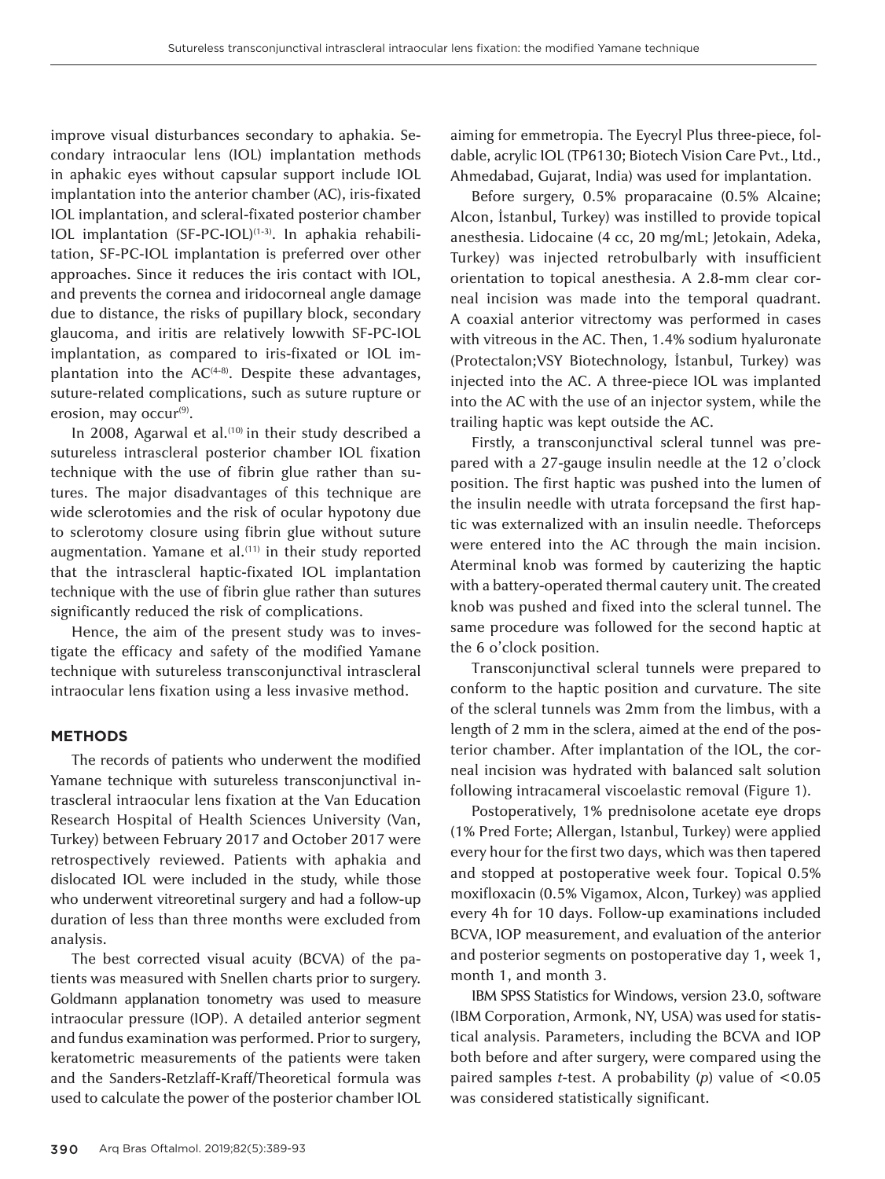improve visual disturbances secondary to aphakia. Secondary intraocular lens (IOL) implantation methods in aphakic eyes without capsular support include IOL implantation into the anterior chamber (AC), iris-fixated IOL implantation, and scleral-fixated posterior chamber IOL implantation (SF-PC-IOL)<sup>(1-3)</sup>. In aphakia rehabilitation, SF-PC-IOL implantation is preferred over other approaches. Since it reduces the iris contact with IOL, and prevents the cornea and iridocorneal angle damage due to distance, the risks of pupillary block, secondary glaucoma, and iritis are relatively lowwith SF-PC-IOL implantation, as compared to iris-fixated or IOL implantation into the  $AC<sup>(4-8)</sup>$ . Despite these advantages, suture-related complications, such as suture rupture or erosion, may occur<sup>(9)</sup>.

In 2008, Agarwal et al.<sup>(10)</sup> in their study described a sutureless intrascleral posterior chamber IOL fixation technique with the use of fibrin glue rather than sutures. The major disadvantages of this technique are wide sclerotomies and the risk of ocular hypotony due to sclerotomy closure using fibrin glue without suture augmentation. Yamane et al.<sup>(11)</sup> in their study reported that the intrascleral haptic-fixated IOL implantation technique with the use of fibrin glue rather than sutures significantly reduced the risk of complications.

Hence, the aim of the present study was to investigate the efficacy and safety of the modified Yamane technique with sutureless transconjunctival intrascleral intraocular lens fixation using a less invasive method.

#### **METHODS**

The records of patients who underwent the modified Yamane technique with sutureless transconjunctival intrascleral intraocular lens fixation at the Van Education Research Hospital of Health Sciences University (Van, Turkey) between February 2017 and October 2017 were retrospectively reviewed. Patients with aphakia and dislocated IOL were included in the study, while those who underwent vitreoretinal surgery and had a follow-up duration of less than three months were excluded from analysis.

The best corrected visual acuity (BCVA) of the patients was measured with Snellen charts prior to surgery. Goldmann applanation tonometry was used to measure intraocular pressure (IOP). A detailed anterior segment and fundus examination was performed. Prior to surgery, keratometric measurements of the patients were taken and the Sanders-Retzlaff-Kraff/Theoretical formula was used to calculate the power of the posterior chamber IOL

aiming for emmetropia. The Eyecryl Plus three-piece, foldable, acrylic IOL (TP6130; Biotech Vision Care Pvt., Ltd., Ahmedabad, Gujarat, India) was used for implantation.

Before surgery, 0.5% proparacaine (0.5% Alcaine; Alcon, İstanbul, Turkey) was instilled to provide topical anesthesia. Lidocaine (4 cc, 20 mg/mL; Jetokain, Adeka, Turkey) was injected retrobulbarly with insufficient orientation to topical anesthesia. A 2.8-mm clear corneal incision was made into the temporal quadrant. A coaxial anterior vitrectomy was performed in cases with vitreous in the AC. Then, 1.4% sodium hyaluronate (Protectalon;VSY Biotechnology, İstanbul, Turkey) was injected into the AC. A three-piece IOL was implanted into the AC with the use of an injector system, while the trailing haptic was kept outside the AC.

Firstly, a transconjunctival scleral tunnel was prepared with a 27-gauge insulin needle at the 12 o'clock position. The first haptic was pushed into the lumen of the insulin needle with utrata forcepsand the first haptic was externalized with an insulin needle. Theforceps were entered into the AC through the main incision. Aterminal knob was formed by cauterizing the haptic with a battery-operated thermal cautery unit. The created knob was pushed and fixed into the scleral tunnel. The same procedure was followed for the second haptic at the 6 o'clock position.

Transconjunctival scleral tunnels were prepared to conform to the haptic position and curvature. The site of the scleral tunnels was 2mm from the limbus, with a length of 2 mm in the sclera, aimed at the end of the posterior chamber. After implantation of the IOL, the corneal incision was hydrated with balanced salt solution following intracameral viscoelastic removal (Figure 1).

Postoperatively, 1% prednisolone acetate eye drops (1% Pred Forte; Allergan, Istanbul, Turkey) were applied every hour for the first two days, which was then tapered and stopped at postoperative week four. Topical 0.5% moxifloxacin (0.5% Vigamox, Alcon, Turkey) was applied every 4h for 10 days. Follow-up examinations included BCVA, IOP measurement, and evaluation of the anterior and posterior segments on postoperative day 1, week 1, month 1, and month 3.

IBM SPSS Statistics for Windows, version 23.0, software (IBM Corporation, Armonk, NY, USA) was used for statistical analysis. Parameters, including the BCVA and IOP both before and after surgery, were compared using the paired samples *t*-test. A probability (*p*) value of <0.05 was considered statistically significant.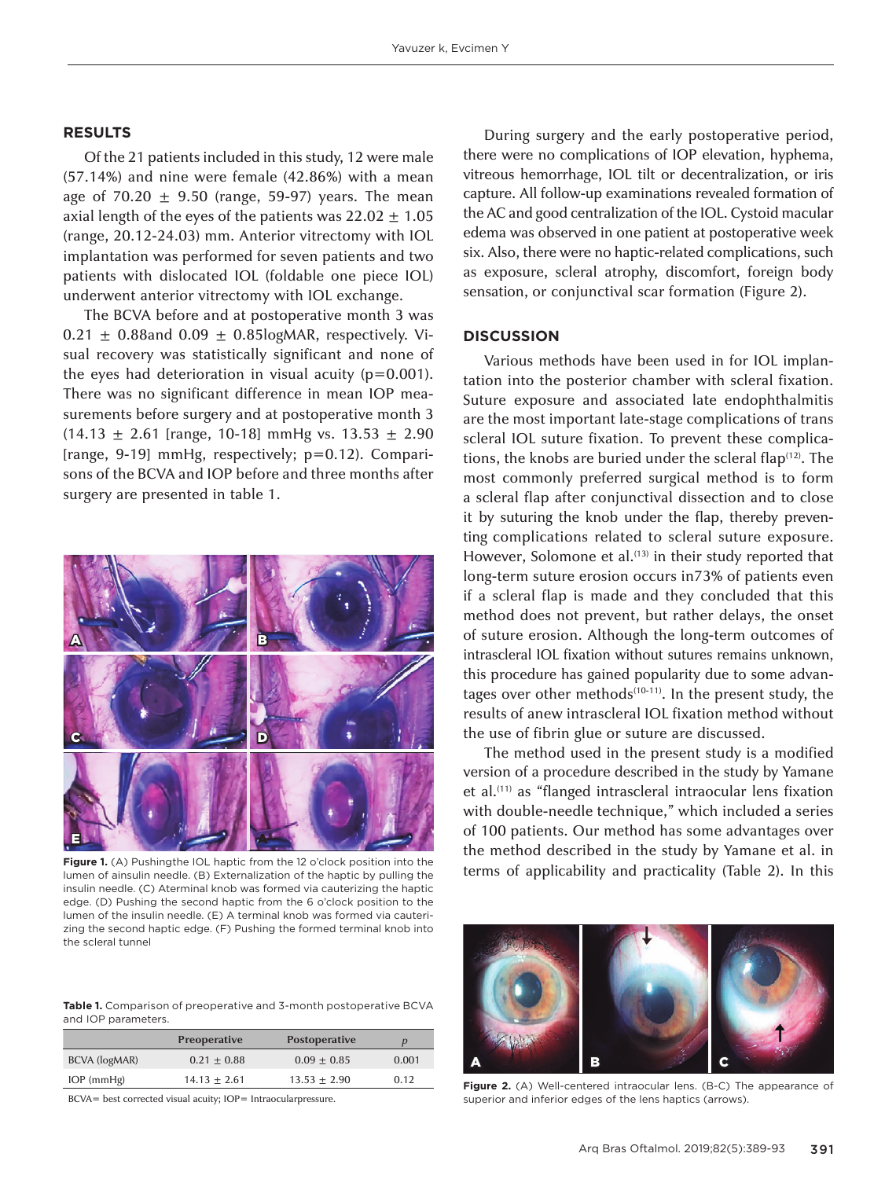### **RESULTS**

Of the 21 patients included in this study, 12 were male (57.14%) and nine were female (42.86%) with a mean age of  $70.20 \pm 9.50$  (range, 59-97) years. The mean axial length of the eyes of the patients was  $22.02 \pm 1.05$ (range, 20.12-24.03) mm. Anterior vitrectomy with IOL implantation was performed for seven patients and two patients with dislocated IOL (foldable one piece IOL) underwent anterior vitrectomy with IOL exchange.

The BCVA before and at postoperative month 3 was  $0.21 \pm 0.88$ and  $0.09 \pm 0.85$ logMAR, respectively. Visual recovery was statistically significant and none of the eyes had deterioration in visual acuity  $(p=0.001)$ . There was no significant difference in mean IOP measurements before surgery and at postoperative month 3  $(14.13 \pm 2.61$  [range, 10-18] mmHg vs. 13.53  $\pm$  2.90 [range, 9-19] mmHg, respectively; p=0.12). Comparisons of the BCVA and IOP before and three months after surgery are presented in table 1.



Figure 1. (A) Pushingthe IOL haptic from the 12 o'clock position into the lumen of ainsulin needle. (B) Externalization of the haptic by pulling the insulin needle. (C) Aterminal knob was formed via cauterizing the haptic edge. (D) Pushing the second haptic from the 6 o'clock position to the lumen of the insulin needle. (E) A terminal knob was formed via cauterizing the second haptic edge. (F) Pushing the formed terminal knob into the scleral tunnel

**Table 1.** Comparison of preoperative and 3-month postoperative BCVA and IOP parameters.

|                  | Preoperative   | <b>Postoperative</b> |       |
|------------------|----------------|----------------------|-------|
| BCVA (logMAR)    | $0.21 + 0.88$  | $0.09 + 0.85$        | 0.001 |
| $IOP$ (mm $Hg$ ) | $14.13 + 2.61$ | $13.53 + 2.90$       | 0.12  |

BCVA= best corrected visual acuity; IOP= Intraocularpressure.

During surgery and the early postoperative period, there were no complications of IOP elevation, hyphema, vitreous hemorrhage, IOL tilt or decentralization, or iris capture. All follow-up examinations revealed formation of the AC and good centralization of the IOL. Cystoid macular edema was observed in one patient at postoperative week six. Also, there were no haptic-related complications, such as exposure, scleral atrophy, discomfort, foreign body sensation, or conjunctival scar formation (Figure 2).

### **DISCUSSION**

Various methods have been used in for IOL implantation into the posterior chamber with scleral fixation. Suture exposure and associated late endophthalmitis are the most important late-stage complications of trans scleral IOL suture fixation. To prevent these complications, the knobs are buried under the scleral flap<sup>(12)</sup>. The most commonly preferred surgical method is to form a scleral flap after conjunctival dissection and to close it by suturing the knob under the flap, thereby preventing complications related to scleral suture exposure. However, Solomone et al.<sup>(13)</sup> in their study reported that long-term suture erosion occurs in73% of patients even if a scleral flap is made and they concluded that this method does not prevent, but rather delays, the onset of suture erosion. Although the long-term outcomes of intrascleral IOL fixation without sutures remains unknown, this procedure has gained popularity due to some advantages over other methods $(10-11)$ . In the present study, the results of anew intrascleral IOL fixation method without the use of fibrin glue or suture are discussed.

The method used in the present study is a modified version of a procedure described in the study by Yamane et al.<sup>(11)</sup> as "flanged intrascleral intraocular lens fixation with double-needle technique," which included a series of 100 patients. Our method has some advantages over the method described in the study by Yamane et al. in terms of applicability and practicality (Table 2). In this



**Figure 2.** (A) Well-centered intraocular lens. (B-C) The appearance of superior and inferior edges of the lens haptics (arrows).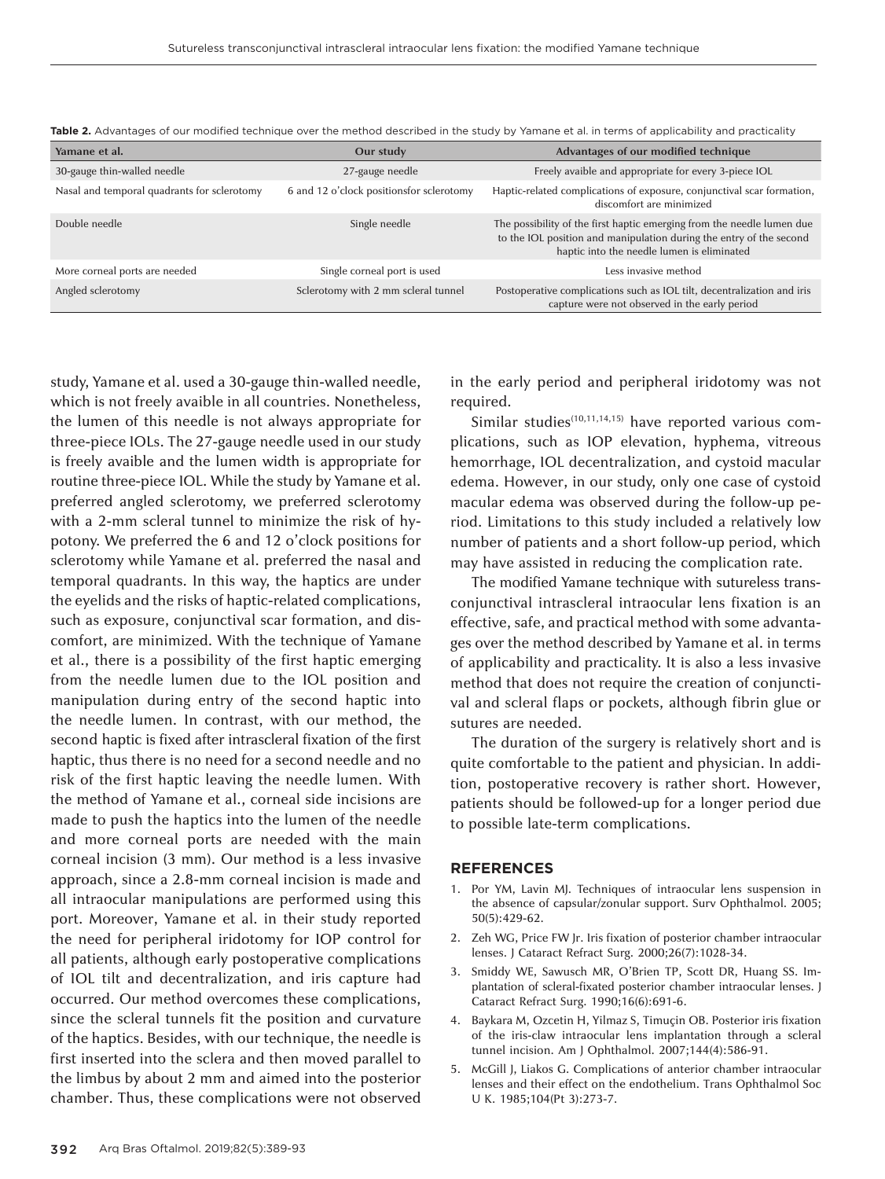| Yamane et al.                               | Our study                                | Advantages of our modified technique                                                                                                                                                        |
|---------------------------------------------|------------------------------------------|---------------------------------------------------------------------------------------------------------------------------------------------------------------------------------------------|
| 30-gauge thin-walled needle                 | 27-gauge needle                          | Freely avaible and appropriate for every 3-piece IOL                                                                                                                                        |
| Nasal and temporal quadrants for sclerotomy | 6 and 12 o'clock positionsfor sclerotomy | Haptic-related complications of exposure, conjunctival scar formation,<br>discomfort are minimized                                                                                          |
| Double needle                               | Single needle                            | The possibility of the first haptic emerging from the needle lumen due<br>to the IOL position and manipulation during the entry of the second<br>haptic into the needle lumen is eliminated |
| More corneal ports are needed               | Single corneal port is used              | Less invasive method                                                                                                                                                                        |
| Angled sclerotomy                           | Sclerotomy with 2 mm scleral tunnel      | Postoperative complications such as IOL tilt, decentralization and iris<br>capture were not observed in the early period                                                                    |

**Table 2.** Advantages of our modified technique over the method described in the study by Yamane et al. in terms of applicability and practicality

study, Yamane et al. used a 30-gauge thin-walled needle, which is not freely avaible in all countries. Nonetheless, the lumen of this needle is not always appropriate for three-piece IOLs. The 27-gauge needle used in our study is freely avaible and the lumen width is appropriate for routine three-piece IOL. While the study by Yamane et al. preferred angled sclerotomy, we preferred sclerotomy with a 2-mm scleral tunnel to minimize the risk of hypotony. We preferred the 6 and 12 o'clock positions for sclerotomy while Yamane et al. preferred the nasal and temporal quadrants. In this way, the haptics are under the eyelids and the risks of haptic-related complications, such as exposure, conjunctival scar formation, and discomfort, are minimized. With the technique of Yamane et al., there is a possibility of the first haptic emerging from the needle lumen due to the IOL position and manipulation during entry of the second haptic into the needle lumen. In contrast, with our method, the second haptic is fixed after intrascleral fixation of the first haptic, thus there is no need for a second needle and no risk of the first haptic leaving the needle lumen. With the method of Yamane et al., corneal side incisions are made to push the haptics into the lumen of the needle and more corneal ports are needed with the main corneal incision (3 mm). Our method is a less invasive approach, since a 2.8-mm corneal incision is made and all intraocular manipulations are performed using this port. Moreover, Yamane et al. in their study reported the need for peripheral iridotomy for IOP control for all patients, although early postoperative complications of IOL tilt and decentralization, and iris capture had occurred. Our method overcomes these complications, since the scleral tunnels fit the position and curvature of the haptics. Besides, with our technique, the needle is first inserted into the sclera and then moved parallel to the limbus by about 2 mm and aimed into the posterior chamber. Thus, these complications were not observed

in the early period and peripheral iridotomy was not required.

Similar studies $(10,11,14,15)$  have reported various complications, such as IOP elevation, hyphema, vitreous hemorrhage, IOL decentralization, and cystoid macular edema. However, in our study, only one case of cystoid macular edema was observed during the follow-up period. Limitations to this study included a relatively low number of patients and a short follow-up period, which may have assisted in reducing the complication rate.

The modified Yamane technique with sutureless transconjunctival intrascleral intraocular lens fixation is an effective, safe, and practical method with some advantages over the method described by Yamane et al. in terms of applicability and practicality. It is also a less invasive method that does not require the creation of conjunctival and scleral flaps or pockets, although fibrin glue or sutures are needed.

The duration of the surgery is relatively short and is quite comfortable to the patient and physician. In addition, postoperative recovery is rather short. However, patients should be followed-up for a longer period due to possible late-term complications.

#### **REFERENCES**

- 1. Por YM, Lavin MJ. Techniques of intraocular lens suspension in the absence of capsular/zonular support. Surv Ophthalmol. 2005; 50(5):429-62.
- 2. Zeh WG, Price FW Jr. Iris fixation of posterior chamber intraocular lenses. J Cataract Refract Surg. 2000;26(7):1028-34.
- 3. Smiddy WE, Sawusch MR, O'Brien TP, Scott DR, Huang SS. Implantation of scleral-fixated posterior chamber intraocular lenses. J Cataract Refract Surg. 1990;16(6):691-6.
- 4. Baykara M, Ozcetin H, Yilmaz S, Timuçin OB. Posterior iris fixation of the iris-claw intraocular lens implantation through a scleral tunnel incision. Am J Ophthalmol. 2007;144(4):586-91.
- 5. McGill J, Liakos G. Complications of anterior chamber intraocular lenses and their effect on the endothelium. Trans Ophthalmol Soc U K. 1985;104(Pt 3):273-7.